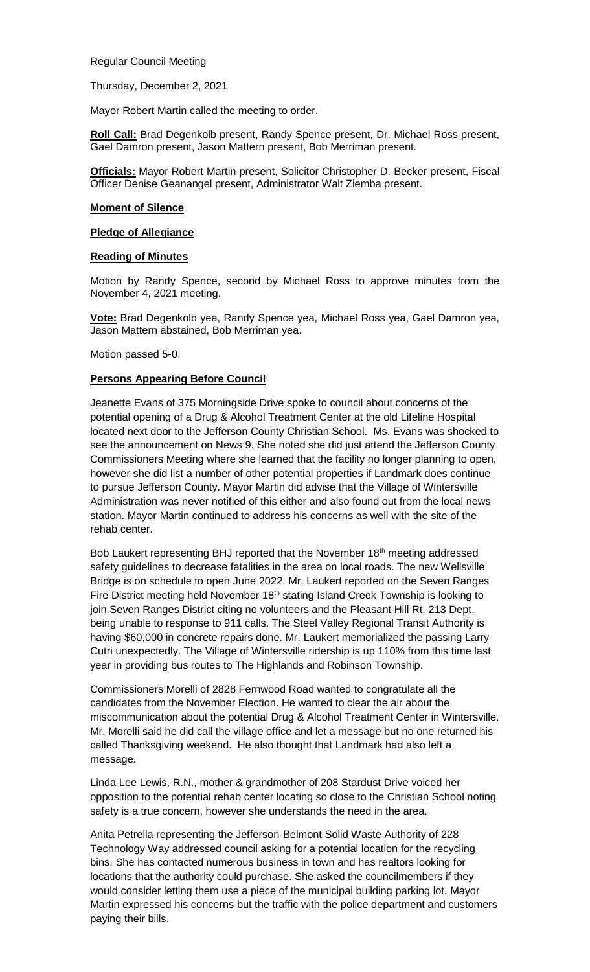Regular Council Meeting

Thursday, December 2, 2021

Mayor Robert Martin called the meeting to order.

**Roll Call:** Brad Degenkolb present, Randy Spence present, Dr. Michael Ross present, Gael Damron present, Jason Mattern present, Bob Merriman present.

**Officials:** Mayor Robert Martin present, Solicitor Christopher D. Becker present, Fiscal Officer Denise Geanangel present, Administrator Walt Ziemba present.

### **Moment of Silence**

# **Pledge of Allegiance**

# **Reading of Minutes**

Motion by Randy Spence, second by Michael Ross to approve minutes from the November 4, 2021 meeting.

**Vote:** Brad Degenkolb yea, Randy Spence yea, Michael Ross yea, Gael Damron yea, Jason Mattern abstained, Bob Merriman yea.

Motion passed 5-0.

# **Persons Appearing Before Council**

Jeanette Evans of 375 Morningside Drive spoke to council about concerns of the potential opening of a Drug & Alcohol Treatment Center at the old Lifeline Hospital located next door to the Jefferson County Christian School. Ms. Evans was shocked to see the announcement on News 9. She noted she did just attend the Jefferson County Commissioners Meeting where she learned that the facility no longer planning to open, however she did list a number of other potential properties if Landmark does continue to pursue Jefferson County. Mayor Martin did advise that the Village of Wintersville Administration was never notified of this either and also found out from the local news station. Mayor Martin continued to address his concerns as well with the site of the rehab center.

Bob Laukert representing BHJ reported that the November 18<sup>th</sup> meeting addressed safety guidelines to decrease fatalities in the area on local roads. The new Wellsville Bridge is on schedule to open June 2022. Mr. Laukert reported on the Seven Ranges Fire District meeting held November  $18<sup>th</sup>$  stating Island Creek Township is looking to join Seven Ranges District citing no volunteers and the Pleasant Hill Rt. 213 Dept. being unable to response to 911 calls. The Steel Valley Regional Transit Authority is having \$60,000 in concrete repairs done. Mr. Laukert memorialized the passing Larry Cutri unexpectedly. The Village of Wintersville ridership is up 110% from this time last year in providing bus routes to The Highlands and Robinson Township.

Commissioners Morelli of 2828 Fernwood Road wanted to congratulate all the candidates from the November Election. He wanted to clear the air about the miscommunication about the potential Drug & Alcohol Treatment Center in Wintersville. Mr. Morelli said he did call the village office and let a message but no one returned his called Thanksgiving weekend. He also thought that Landmark had also left a message.

Linda Lee Lewis, R.N., mother & grandmother of 208 Stardust Drive voiced her opposition to the potential rehab center locating so close to the Christian School noting safety is a true concern, however she understands the need in the area.

Anita Petrella representing the Jefferson-Belmont Solid Waste Authority of 228 Technology Way addressed council asking for a potential location for the recycling bins. She has contacted numerous business in town and has realtors looking for locations that the authority could purchase. She asked the councilmembers if they would consider letting them use a piece of the municipal building parking lot. Mayor Martin expressed his concerns but the traffic with the police department and customers paying their bills.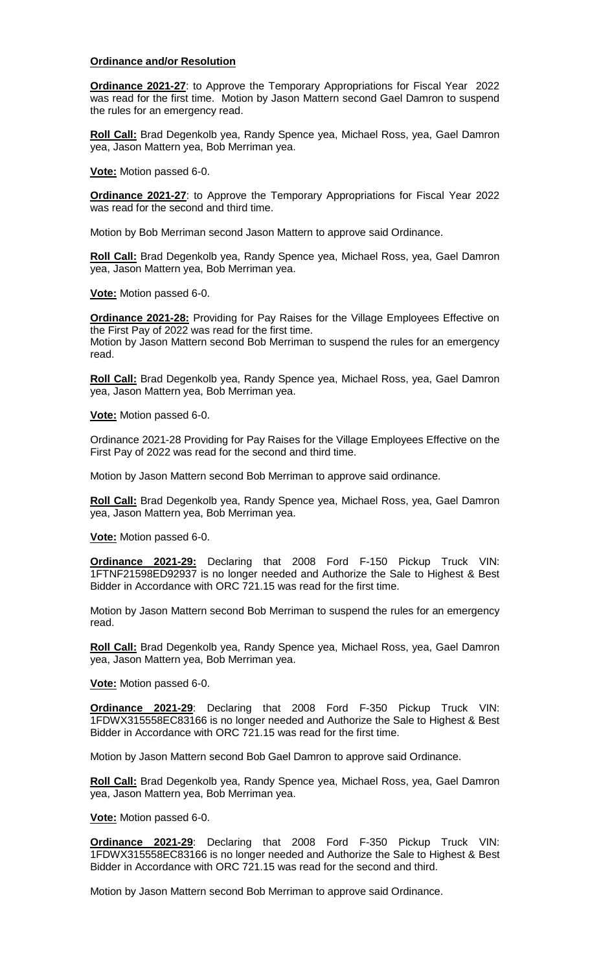### **Ordinance and/or Resolution**

**Ordinance 2021-27**: to Approve the Temporary Appropriations for Fiscal Year 2022 was read for the first time. Motion by Jason Mattern second Gael Damron to suspend the rules for an emergency read.

**Roll Call:** Brad Degenkolb yea, Randy Spence yea, Michael Ross, yea, Gael Damron yea, Jason Mattern yea, Bob Merriman yea.

**Vote:** Motion passed 6-0.

**Ordinance 2021-27**: to Approve the Temporary Appropriations for Fiscal Year 2022 was read for the second and third time.

Motion by Bob Merriman second Jason Mattern to approve said Ordinance.

**Roll Call:** Brad Degenkolb yea, Randy Spence yea, Michael Ross, yea, Gael Damron yea, Jason Mattern yea, Bob Merriman yea.

**Vote:** Motion passed 6-0.

**Ordinance 2021-28:** Providing for Pay Raises for the Village Employees Effective on the First Pay of 2022 was read for the first time. Motion by Jason Mattern second Bob Merriman to suspend the rules for an emergency read.

**Roll Call:** Brad Degenkolb yea, Randy Spence yea, Michael Ross, yea, Gael Damron yea, Jason Mattern yea, Bob Merriman yea.

**Vote:** Motion passed 6-0.

Ordinance 2021-28 Providing for Pay Raises for the Village Employees Effective on the First Pay of 2022 was read for the second and third time.

Motion by Jason Mattern second Bob Merriman to approve said ordinance.

**Roll Call:** Brad Degenkolb yea, Randy Spence yea, Michael Ross, yea, Gael Damron yea, Jason Mattern yea, Bob Merriman yea.

**Vote:** Motion passed 6-0.

**Ordinance 2021-29:** Declaring that 2008 Ford F-150 Pickup Truck VIN: 1FTNF21598ED92937 is no longer needed and Authorize the Sale to Highest & Best Bidder in Accordance with ORC 721.15 was read for the first time.

Motion by Jason Mattern second Bob Merriman to suspend the rules for an emergency read.

**Roll Call:** Brad Degenkolb yea, Randy Spence yea, Michael Ross, yea, Gael Damron yea, Jason Mattern yea, Bob Merriman yea.

**Vote:** Motion passed 6-0.

**Ordinance 2021-29**: Declaring that 2008 Ford F-350 Pickup Truck VIN: 1FDWX315558EC83166 is no longer needed and Authorize the Sale to Highest & Best Bidder in Accordance with ORC 721.15 was read for the first time.

Motion by Jason Mattern second Bob Gael Damron to approve said Ordinance.

**Roll Call:** Brad Degenkolb yea, Randy Spence yea, Michael Ross, yea, Gael Damron yea, Jason Mattern yea, Bob Merriman yea.

**Vote:** Motion passed 6-0.

**Ordinance 2021-29**: Declaring that 2008 Ford F-350 Pickup Truck VIN: 1FDWX315558EC83166 is no longer needed and Authorize the Sale to Highest & Best Bidder in Accordance with ORC 721.15 was read for the second and third.

Motion by Jason Mattern second Bob Merriman to approve said Ordinance.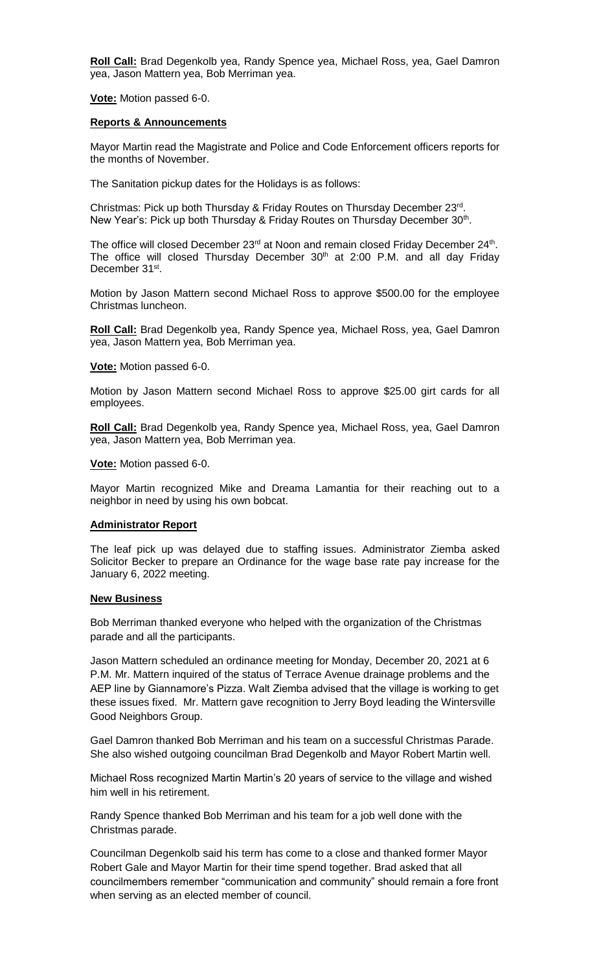**Roll Call:** Brad Degenkolb yea, Randy Spence yea, Michael Ross, yea, Gael Damron yea, Jason Mattern yea, Bob Merriman yea.

**Vote:** Motion passed 6-0.

#### **Reports & Announcements**

Mayor Martin read the Magistrate and Police and Code Enforcement officers reports for the months of November.

The Sanitation pickup dates for the Holidays is as follows:

Christmas: Pick up both Thursday & Friday Routes on Thursday December 23rd. New Year's: Pick up both Thursday & Friday Routes on Thursday December 30<sup>th</sup>.

The office will closed December  $23<sup>rd</sup>$  at Noon and remain closed Friday December  $24<sup>th</sup>$ . The office will closed Thursday December  $30<sup>th</sup>$  at 2:00 P.M. and all day Friday December 31<sup>st</sup>.

Motion by Jason Mattern second Michael Ross to approve \$500.00 for the employee Christmas luncheon.

**Roll Call:** Brad Degenkolb yea, Randy Spence yea, Michael Ross, yea, Gael Damron yea, Jason Mattern yea, Bob Merriman yea.

**Vote:** Motion passed 6-0.

Motion by Jason Mattern second Michael Ross to approve \$25.00 girt cards for all employees.

**Roll Call:** Brad Degenkolb yea, Randy Spence yea, Michael Ross, yea, Gael Damron yea, Jason Mattern yea, Bob Merriman yea.

**Vote:** Motion passed 6-0.

Mayor Martin recognized Mike and Dreama Lamantia for their reaching out to a neighbor in need by using his own bobcat.

### **Administrator Report**

The leaf pick up was delayed due to staffing issues. Administrator Ziemba asked Solicitor Becker to prepare an Ordinance for the wage base rate pay increase for the January 6, 2022 meeting.

#### **New Business**

Bob Merriman thanked everyone who helped with the organization of the Christmas parade and all the participants.

Jason Mattern scheduled an ordinance meeting for Monday, December 20, 2021 at 6 P.M. Mr. Mattern inquired of the status of Terrace Avenue drainage problems and the AEP line by Giannamore's Pizza. Walt Ziemba advised that the village is working to get these issues fixed. Mr. Mattern gave recognition to Jerry Boyd leading the Wintersville Good Neighbors Group.

Gael Damron thanked Bob Merriman and his team on a successful Christmas Parade. She also wished outgoing councilman Brad Degenkolb and Mayor Robert Martin well.

Michael Ross recognized Martin Martin's 20 years of service to the village and wished him well in his retirement.

Randy Spence thanked Bob Merriman and his team for a job well done with the Christmas parade.

Councilman Degenkolb said his term has come to a close and thanked former Mayor Robert Gale and Mayor Martin for their time spend together. Brad asked that all councilmembers remember "communication and community" should remain a fore front when serving as an elected member of council.